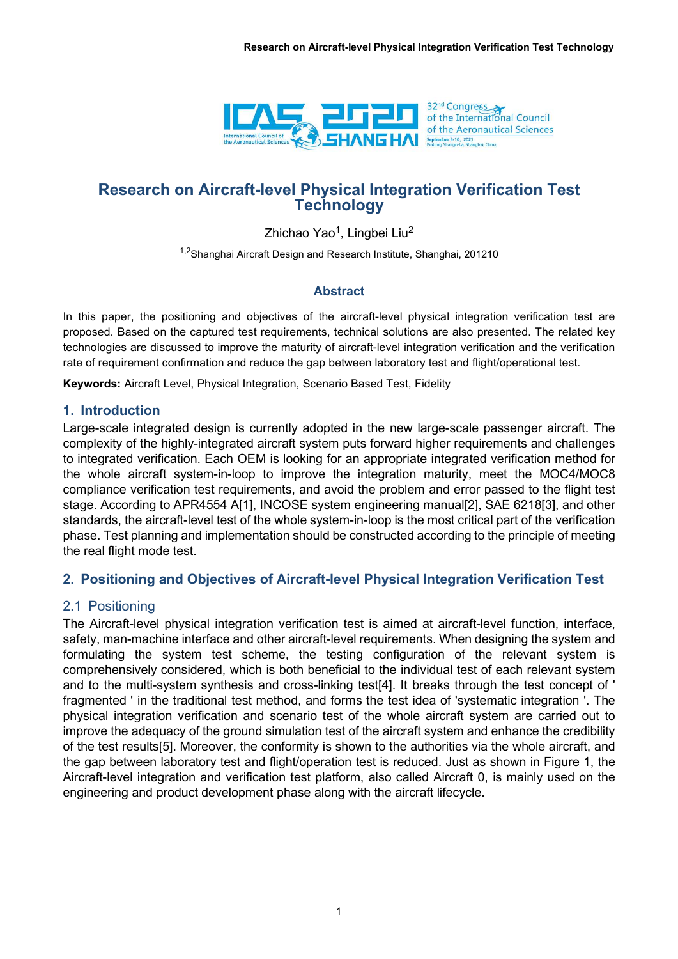

# Research on Aircraft-level Physical Integration Verification Test **Technology**

Zhichao Yao<sup>1</sup>, Lingbei Liu<sup>2</sup>

<sup>1,2</sup>Shanghai Aircraft Design and Research Institute, Shanghai, 201210

#### Abstract

In this paper, the positioning and objectives of the aircraft-level physical integration verification test are proposed. Based on the captured test requirements, technical solutions are also presented. The related key technologies are discussed to improve the maturity of aircraft-level integration verification and the verification rate of requirement confirmation and reduce the gap between laboratory test and flight/operational test.

Keywords: Aircraft Level, Physical Integration, Scenario Based Test, Fidelity

#### 1. Introduction

Large-scale integrated design is currently adopted in the new large-scale passenger aircraft. The complexity of the highly-integrated aircraft system puts forward higher requirements and challenges to integrated verification. Each OEM is looking for an appropriate integrated verification method for the whole aircraft system-in-loop to improve the integration maturity, meet the MOC4/MOC8 compliance verification test requirements, and avoid the problem and error passed to the flight test stage. According to APR4554 A[1], INCOSE system engineering manual[2], SAE 6218[3], and other standards, the aircraft-level test of the whole system-in-loop is the most critical part of the verification phase. Test planning and implementation should be constructed according to the principle of meeting the real flight mode test.

## 2. Positioning and Objectives of Aircraft-level Physical Integration Verification Test

## 2.1 Positioning

The Aircraft-level physical integration verification test is aimed at aircraft-level function, interface, safety, man-machine interface and other aircraft-level requirements. When designing the system and formulating the system test scheme, the testing configuration of the relevant system is comprehensively considered, which is both beneficial to the individual test of each relevant system and to the multi-system synthesis and cross-linking test[4]. It breaks through the test concept of ' fragmented ' in the traditional test method, and forms the test idea of 'systematic integration '. The physical integration verification and scenario test of the whole aircraft system are carried out to improve the adequacy of the ground simulation test of the aircraft system and enhance the credibility of the test results[5]. Moreover, the conformity is shown to the authorities via the whole aircraft, and the gap between laboratory test and flight/operation test is reduced. Just as shown in Figure 1, the Aircraft-level integration and verification test platform, also called Aircraft 0, is mainly used on the engineering and product development phase along with the aircraft lifecycle.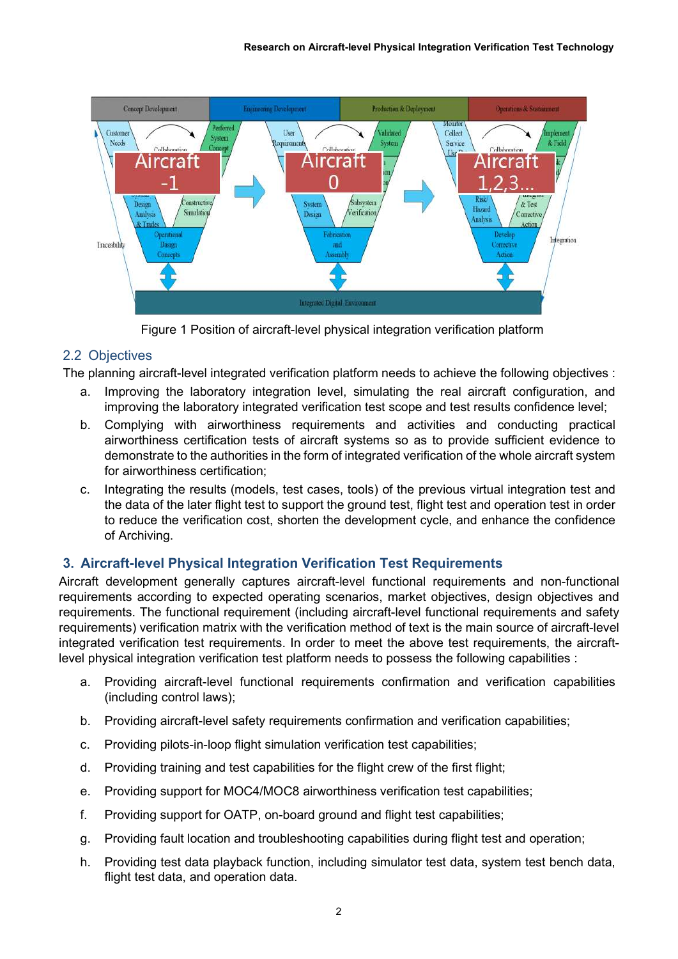

Figure 1 Position of aircraft-level physical integration verification platform

# 2.2 Objectives

The planning aircraft-level integrated verification platform needs to achieve the following objectives :

- a. Improving the laboratory integration level, simulating the real aircraft configuration, and improving the laboratory integrated verification test scope and test results confidence level;
- b. Complying with airworthiness requirements and activities and conducting practical airworthiness certification tests of aircraft systems so as to provide sufficient evidence to demonstrate to the authorities in the form of integrated verification of the whole aircraft system for airworthiness certification;
- c. Integrating the results (models, test cases, tools) of the previous virtual integration test and the data of the later flight test to support the ground test, flight test and operation test in order to reduce the verification cost, shorten the development cycle, and enhance the confidence of Archiving.

# 3. Aircraft-level Physical Integration Verification Test Requirements

Aircraft development generally captures aircraft-level functional requirements and non-functional requirements according to expected operating scenarios, market objectives, design objectives and requirements. The functional requirement (including aircraft-level functional requirements and safety requirements) verification matrix with the verification method of text is the main source of aircraft-level integrated verification test requirements. In order to meet the above test requirements, the aircraftlevel physical integration verification test platform needs to possess the following capabilities :

- a. Providing aircraft-level functional requirements confirmation and verification capabilities (including control laws);
- b. Providing aircraft-level safety requirements confirmation and verification capabilities;
- c. Providing pilots-in-loop flight simulation verification test capabilities;
- d. Providing training and test capabilities for the flight crew of the first flight;
- e. Providing support for MOC4/MOC8 airworthiness verification test capabilities;
- f. Providing support for OATP, on-board ground and flight test capabilities;
- g. Providing fault location and troubleshooting capabilities during flight test and operation;
- h. Providing test data playback function, including simulator test data, system test bench data, flight test data, and operation data.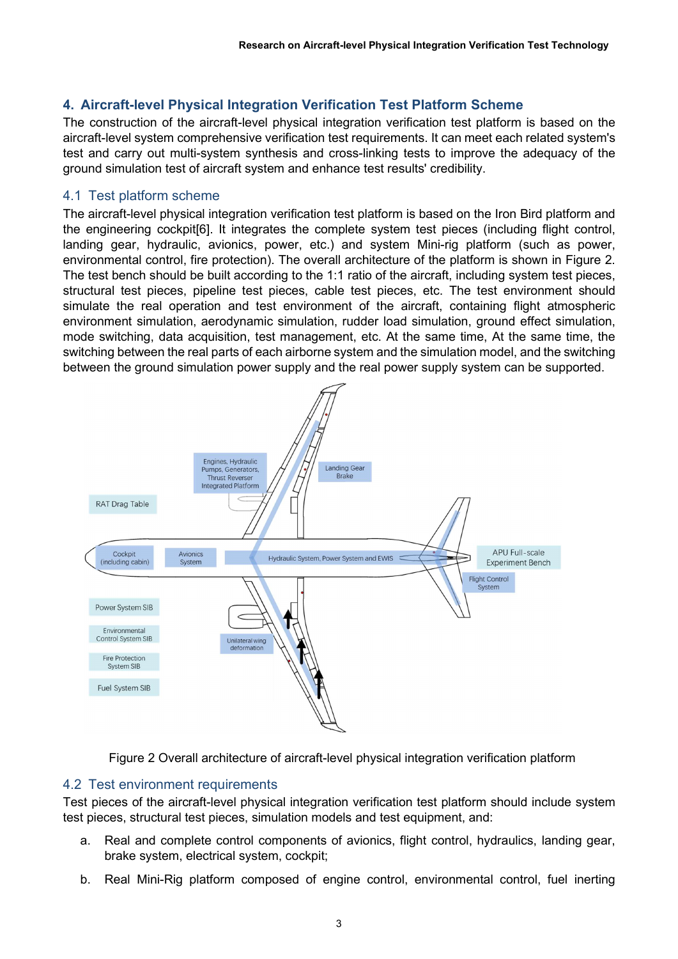# 4. Aircraft-level Physical Integration Verification Test Platform Scheme

The construction of the aircraft-level physical integration verification test platform is based on the aircraft-level system comprehensive verification test requirements. It can meet each related system's test and carry out multi-system synthesis and cross-linking tests to improve the adequacy of the ground simulation test of aircraft system and enhance test results' credibility.

#### 4.1 Test platform scheme

The aircraft-level physical integration verification test platform is based on the Iron Bird platform and the engineering cockpit[6]. It integrates the complete system test pieces (including flight control, landing gear, hydraulic, avionics, power, etc.) and system Mini-rig platform (such as power, environmental control, fire protection). The overall architecture of the platform is shown in Figure 2. The test bench should be built according to the 1:1 ratio of the aircraft, including system test pieces, structural test pieces, pipeline test pieces, cable test pieces, etc. The test environment should simulate the real operation and test environment of the aircraft, containing flight atmospheric environment simulation, aerodynamic simulation, rudder load simulation, ground effect simulation, mode switching, data acquisition, test management, etc. At the same time, At the same time, the switching between the real parts of each airborne system and the simulation model, and the switching between the ground simulation power supply and the real power supply system can be supported.



Figure 2 Overall architecture of aircraft-level physical integration verification platform

## 4.2 Test environment requirements

Test pieces of the aircraft-level physical integration verification test platform should include system test pieces, structural test pieces, simulation models and test equipment, and:

- a. Real and complete control components of avionics, flight control, hydraulics, landing gear, brake system, electrical system, cockpit;
- b. Real Mini-Rig platform composed of engine control, environmental control, fuel inerting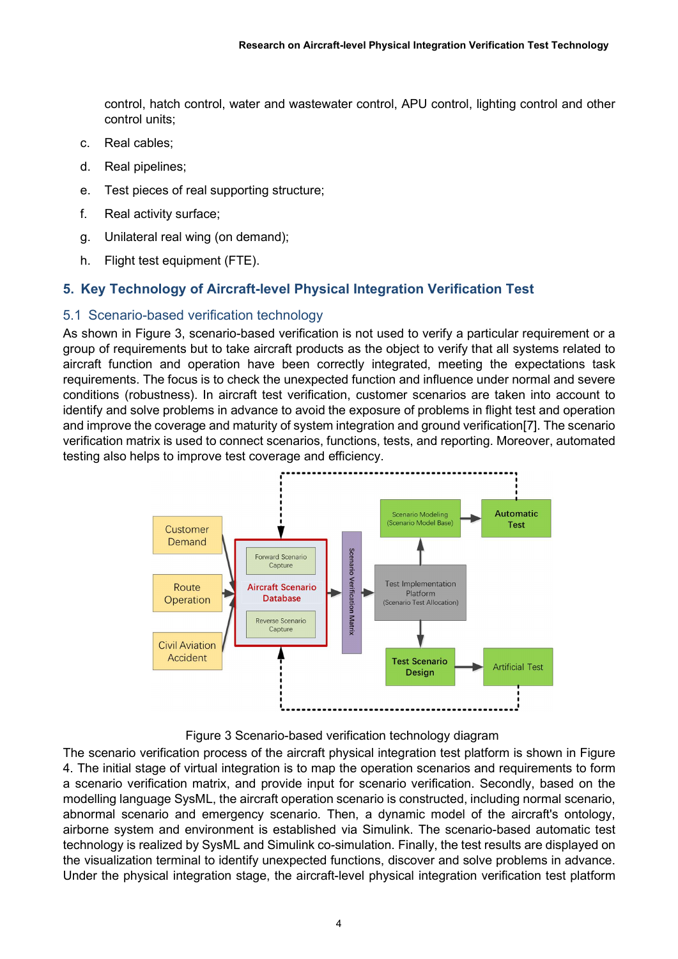control, hatch control, water and wastewater control, APU control, lighting control and other control units;

- c. Real cables;
- d. Real pipelines;
- e. Test pieces of real supporting structure;
- f. Real activity surface;
- g. Unilateral real wing (on demand);
- h. Flight test equipment (FTE).

# 5. Key Technology of Aircraft-level Physical Integration Verification Test

#### 5.1 Scenario-based verification technology

As shown in Figure 3, scenario-based verification is not used to verify a particular requirement or a group of requirements but to take aircraft products as the object to verify that all systems related to aircraft function and operation have been correctly integrated, meeting the expectations task requirements. The focus is to check the unexpected function and influence under normal and severe conditions (robustness). In aircraft test verification, customer scenarios are taken into account to identify and solve problems in advance to avoid the exposure of problems in flight test and operation and improve the coverage and maturity of system integration and ground verification[7]. The scenario verification matrix is used to connect scenarios, functions, tests, and reporting. Moreover, automated testing also helps to improve test coverage and efficiency.



Figure 3 Scenario-based verification technology diagram

The scenario verification process of the aircraft physical integration test platform is shown in Figure 4. The initial stage of virtual integration is to map the operation scenarios and requirements to form a scenario verification matrix, and provide input for scenario verification. Secondly, based on the modelling language SysML, the aircraft operation scenario is constructed, including normal scenario, abnormal scenario and emergency scenario. Then, a dynamic model of the aircraft's ontology, airborne system and environment is established via Simulink. The scenario-based automatic test technology is realized by SysML and Simulink co-simulation. Finally, the test results are displayed on the visualization terminal to identify unexpected functions, discover and solve problems in advance. Under the physical integration stage, the aircraft-level physical integration verification test platform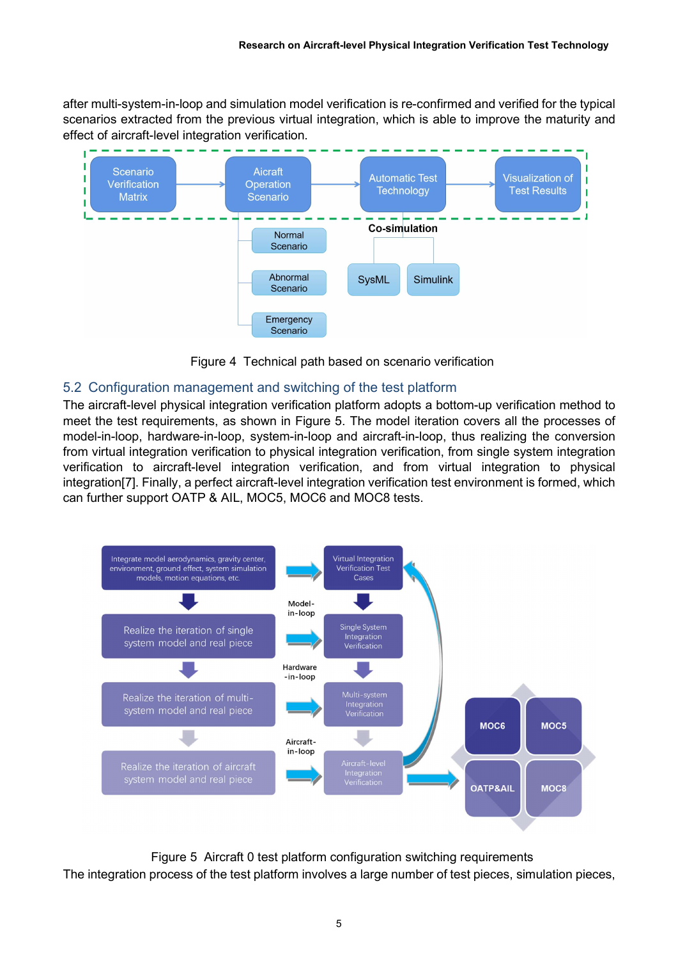after multi-system-in-loop and simulation model verification is re-confirmed and verified for the typical scenarios extracted from the previous virtual integration, which is able to improve the maturity and effect of aircraft-level integration verification.



Figure 4 Technical path based on scenario verification

## 5.2 Configuration management and switching of the test platform

The aircraft-level physical integration verification platform adopts a bottom-up verification method to meet the test requirements, as shown in Figure 5. The model iteration covers all the processes of model-in-loop, hardware-in-loop, system-in-loop and aircraft-in-loop, thus realizing the conversion from virtual integration verification to physical integration verification, from single system integration verification to aircraft-level integration verification, and from virtual integration to physical integration[7]. Finally, a perfect aircraft-level integration verification test environment is formed, which can further support OATP & AIL, MOC5, MOC6 and MOC8 tests.



Figure 5 Aircraft 0 test platform configuration switching requirements The integration process of the test platform involves a large number of test pieces, simulation pieces,